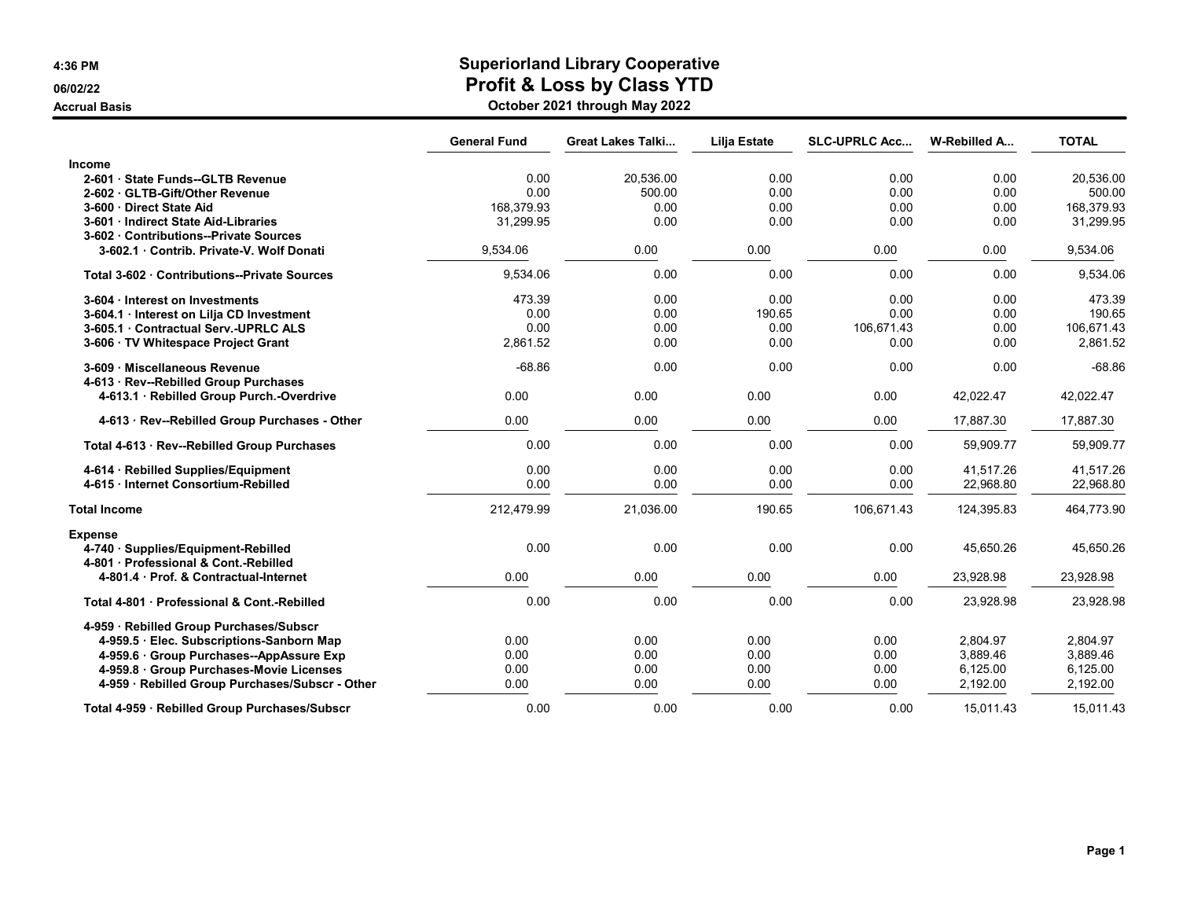### 4:36 PM Superiorland Library Cooperative 06/02/22 **Profit & Loss by Class YTD**

Accrual Basis October 2021 through May 2022

|                                                                                              | <b>General Fund</b> | <b>Great Lakes Talki</b> | Lilja Estate | <b>SLC-UPRLC Acc</b> | W-Rebilled A           | <b>TOTAL</b>           |
|----------------------------------------------------------------------------------------------|---------------------|--------------------------|--------------|----------------------|------------------------|------------------------|
| <b>Income</b>                                                                                |                     |                          |              |                      |                        |                        |
| 2-601 · State Funds--GLTB Revenue                                                            | 0.00                | 20,536.00                | 0.00         | 0.00                 | 0.00                   | 20,536.00              |
| 2-602 GLTB-Gift/Other Revenue                                                                | 0.00                | 500.00                   | 0.00         | 0.00                 | 0.00                   | 500.00                 |
| 3-600 Direct State Aid                                                                       | 168.379.93          | 0.00                     | 0.00         | 0.00                 | 0.00                   | 168.379.93             |
| 3-601 Indirect State Aid-Libraries<br>3-602 Contributions--Private Sources                   | 31,299.95           | 0.00                     | 0.00         | 0.00                 | 0.00                   | 31,299.95              |
| 3-602.1 Contrib. Private-V. Wolf Donati                                                      | 9,534.06            | 0.00                     | 0.00         | 0.00                 | 0.00                   | 9,534.06               |
| Total 3-602 Contributions--Private Sources                                                   | 9,534.06            | 0.00                     | 0.00         | 0.00                 | 0.00                   | 9,534.06               |
| 3-604 · Interest on Investments                                                              | 473.39              | 0.00                     | 0.00         | 0.00                 | 0.00                   | 473.39                 |
| 3-604.1 Interest on Lilja CD Investment                                                      | 0.00                | 0.00                     | 190.65       | 0.00                 | 0.00                   | 190.65                 |
| 3-605.1 Contractual Serv. - UPRLC ALS                                                        | 0.00                | 0.00                     | 0.00         | 106,671.43           | 0.00                   | 106,671.43             |
| 3-606 · TV Whitespace Project Grant                                                          | 2,861.52            | 0.00                     | 0.00         | 0.00                 | 0.00                   | 2,861.52               |
| 3-609 · Miscellaneous Revenue<br>4-613 · Rev--Rebilled Group Purchases                       | $-68.86$            | 0.00                     | 0.00         | 0.00                 | 0.00                   | $-68.86$               |
| 4-613.1 · Rebilled Group Purch.-Overdrive                                                    | 0.00                | 0.00                     | 0.00         | 0.00                 | 42,022.47              | 42,022.47              |
| 4-613 · Rev--Rebilled Group Purchases - Other                                                | 0.00                | 0.00                     | 0.00         | 0.00                 | 17,887.30              | 17,887.30              |
| Total 4-613 · Rev--Rebilled Group Purchases                                                  | 0.00                | 0.00                     | 0.00         | 0.00                 | 59,909.77              | 59,909.77              |
| 4-614 · Rebilled Supplies/Equipment<br>4-615 Internet Consortium-Rebilled                    | 0.00<br>0.00        | 0.00<br>0.00             | 0.00<br>0.00 | 0.00<br>0.00         | 41,517.26<br>22,968.80 | 41,517.26<br>22,968.80 |
| <b>Total Income</b>                                                                          | 212,479.99          | 21,036.00                | 190.65       | 106,671.43           | 124,395.83             | 464,773.90             |
|                                                                                              |                     |                          |              |                      |                        |                        |
| <b>Expense</b><br>4-740 · Supplies/Equipment-Rebilled<br>4-801 Professional & Cont.-Rebilled | 0.00                | 0.00                     | 0.00         | 0.00                 | 45,650.26              | 45,650.26              |
| 4-801.4 Prof. & Contractual-Internet                                                         | 0.00                | 0.00                     | 0.00         | 0.00                 | 23,928.98              | 23,928.98              |
| Total 4-801 Professional & Cont.-Rebilled                                                    | 0.00                | 0.00                     | 0.00         | 0.00                 | 23,928.98              | 23,928.98              |
| 4-959 · Rebilled Group Purchases/Subscr                                                      |                     |                          |              |                      |                        |                        |
| 4-959.5 Elec. Subscriptions-Sanborn Map                                                      | 0.00                | 0.00                     | 0.00         | 0.00                 | 2.804.97               | 2.804.97               |
| 4-959.6 Group Purchases--AppAssure Exp                                                       | 0.00                | 0.00                     | 0.00         | 0.00                 | 3,889.46               | 3,889.46               |
| 4-959.8 Group Purchases-Movie Licenses                                                       | 0.00                | 0.00                     | 0.00         | 0.00                 | 6,125.00               | 6,125.00               |
| 4-959 · Rebilled Group Purchases/Subscr - Other                                              | 0.00                | 0.00                     | 0.00         | 0.00                 | 2,192.00               | 2,192.00               |
| Total 4-959 · Rebilled Group Purchases/Subscr                                                | 0.00                | 0.00                     | 0.00         | 0.00                 | 15.011.43              | 15.011.43              |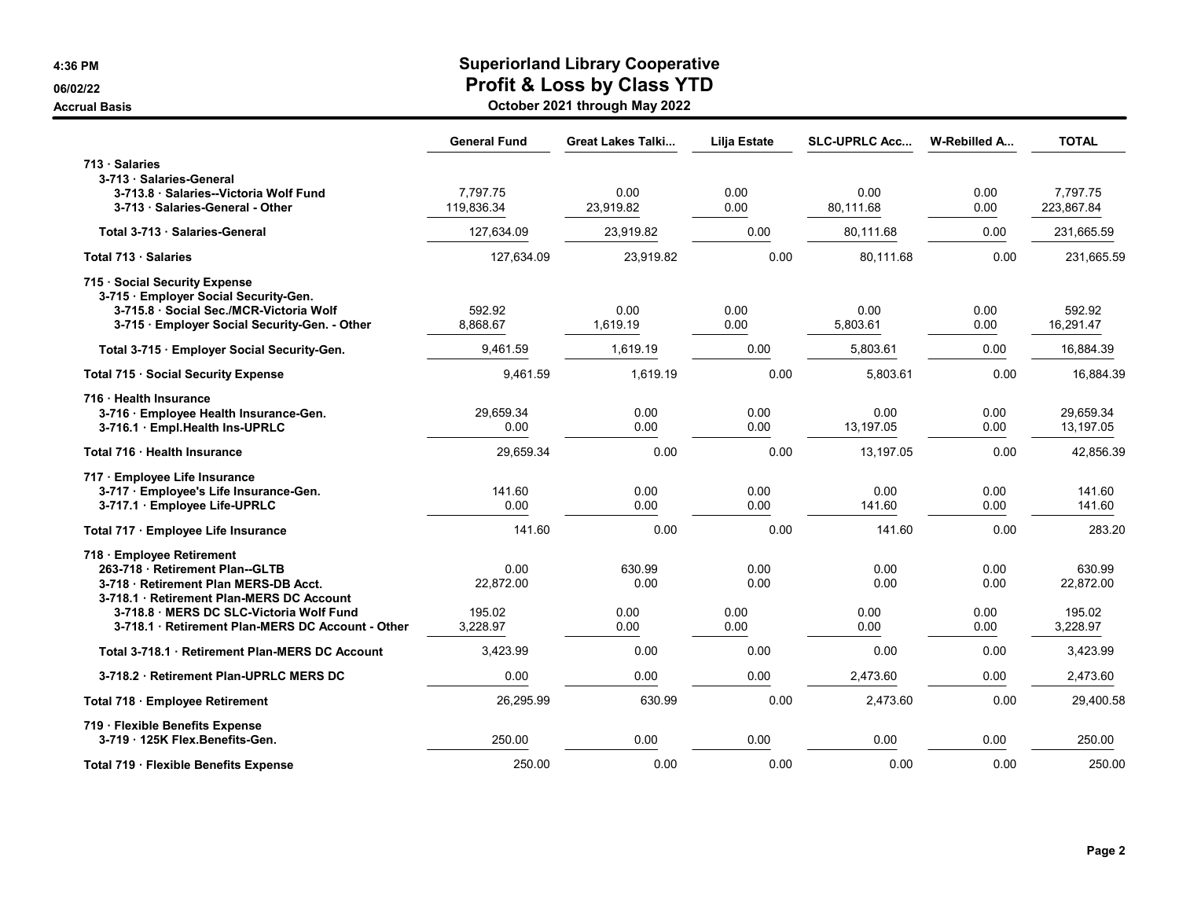## 4:36 PM Superiorland Library Cooperative 06/02/22 OG/02/22

Accrual Basis October 2021 through May 2022

|                                                                                                                                                                                                                                                 | <b>General Fund</b>                     | <b>Great Lakes Talki</b>       | <b>Lilja Estate</b>          | <b>SLC-UPRLC Acc</b>         | W-Rebilled A                 | <b>TOTAL</b>                              |
|-------------------------------------------------------------------------------------------------------------------------------------------------------------------------------------------------------------------------------------------------|-----------------------------------------|--------------------------------|------------------------------|------------------------------|------------------------------|-------------------------------------------|
| 713 · Salaries<br>3-713 · Salaries-General<br>3-713.8 Salaries--Victoria Wolf Fund<br>3-713 · Salaries-General - Other                                                                                                                          | 7,797.75<br>119.836.34                  | 0.00<br>23,919.82              | 0.00<br>0.00                 | 0.00<br>80.111.68            | 0.00<br>0.00                 | 7,797.75<br>223,867.84                    |
| Total 3-713 · Salaries-General                                                                                                                                                                                                                  | 127,634.09                              | 23,919.82                      | 0.00                         | 80.111.68                    | 0.00                         | 231,665.59                                |
| Total 713 · Salaries                                                                                                                                                                                                                            | 127,634.09                              | 23,919.82                      | 0.00                         | 80,111.68                    | 0.00                         | 231,665.59                                |
| 715 · Social Security Expense<br>3-715 · Employer Social Security-Gen.<br>3-715.8 Social Sec./MCR-Victoria Wolf<br>3-715 · Employer Social Security-Gen. - Other                                                                                | 592.92<br>8,868.67                      | 0.00<br>1.619.19               | 0.00<br>0.00                 | 0.00<br>5.803.61             | 0.00<br>0.00                 | 592.92<br>16,291.47                       |
| Total 3-715 · Employer Social Security-Gen.                                                                                                                                                                                                     | 9,461.59                                | 1,619.19                       | 0.00                         | 5,803.61                     | 0.00                         | 16,884.39                                 |
| Total 715 · Social Security Expense                                                                                                                                                                                                             | 9,461.59                                | 1,619.19                       | 0.00                         | 5,803.61                     | 0.00                         | 16,884.39                                 |
| 716 Health Insurance<br>3-716 · Employee Health Insurance-Gen.<br>3-716.1 · Empl.Health Ins-UPRLC                                                                                                                                               | 29,659.34<br>0.00                       | 0.00<br>0.00                   | 0.00<br>0.00                 | 0.00<br>13,197.05            | 0.00<br>0.00                 | 29,659.34<br>13,197.05                    |
| Total 716 Health Insurance                                                                                                                                                                                                                      | 29,659.34                               | 0.00                           | 0.00                         | 13,197.05                    | 0.00                         | 42,856.39                                 |
| 717 · Employee Life Insurance<br>3-717 · Employee's Life Insurance-Gen.<br>3-717.1 · Employee Life-UPRLC                                                                                                                                        | 141.60<br>0.00                          | 0.00<br>0.00                   | 0.00<br>0.00                 | 0.00<br>141.60               | 0.00<br>0.00                 | 141.60<br>141.60                          |
| Total 717 · Employee Life Insurance                                                                                                                                                                                                             | 141.60                                  | 0.00                           | 0.00                         | 141.60                       | 0.00                         | 283.20                                    |
| 718 · Employee Retirement<br>263-718 Retirement Plan--GLTB<br>3-718 · Retirement Plan MERS-DB Acct.<br>3-718.1 · Retirement Plan-MERS DC Account<br>3-718.8 MERS DC SLC-Victoria Wolf Fund<br>3-718.1 · Retirement Plan-MERS DC Account - Other | 0.00<br>22.872.00<br>195.02<br>3,228.97 | 630.99<br>0.00<br>0.00<br>0.00 | 0.00<br>0.00<br>0.00<br>0.00 | 0.00<br>0.00<br>0.00<br>0.00 | 0.00<br>0.00<br>0.00<br>0.00 | 630.99<br>22,872.00<br>195.02<br>3,228.97 |
| Total 3-718.1 Retirement Plan-MERS DC Account                                                                                                                                                                                                   | 3,423.99                                | 0.00                           | 0.00                         | 0.00                         | 0.00                         | 3,423.99                                  |
| 3-718.2 · Retirement Plan-UPRLC MERS DC                                                                                                                                                                                                         | 0.00                                    | 0.00                           | 0.00                         | 2,473.60                     | 0.00                         | 2,473.60                                  |
| Total 718 · Employee Retirement                                                                                                                                                                                                                 | 26,295.99                               | 630.99                         | 0.00                         | 2,473.60                     | 0.00                         | 29,400.58                                 |
| 719 · Flexible Benefits Expense<br>3-719 125K Flex Benefits-Gen.                                                                                                                                                                                | 250.00                                  | 0.00                           | 0.00                         | 0.00                         | 0.00                         | 250.00                                    |
| Total 719 · Flexible Benefits Expense                                                                                                                                                                                                           | 250.00                                  | 0.00                           | 0.00                         | 0.00                         | 0.00                         | 250.00                                    |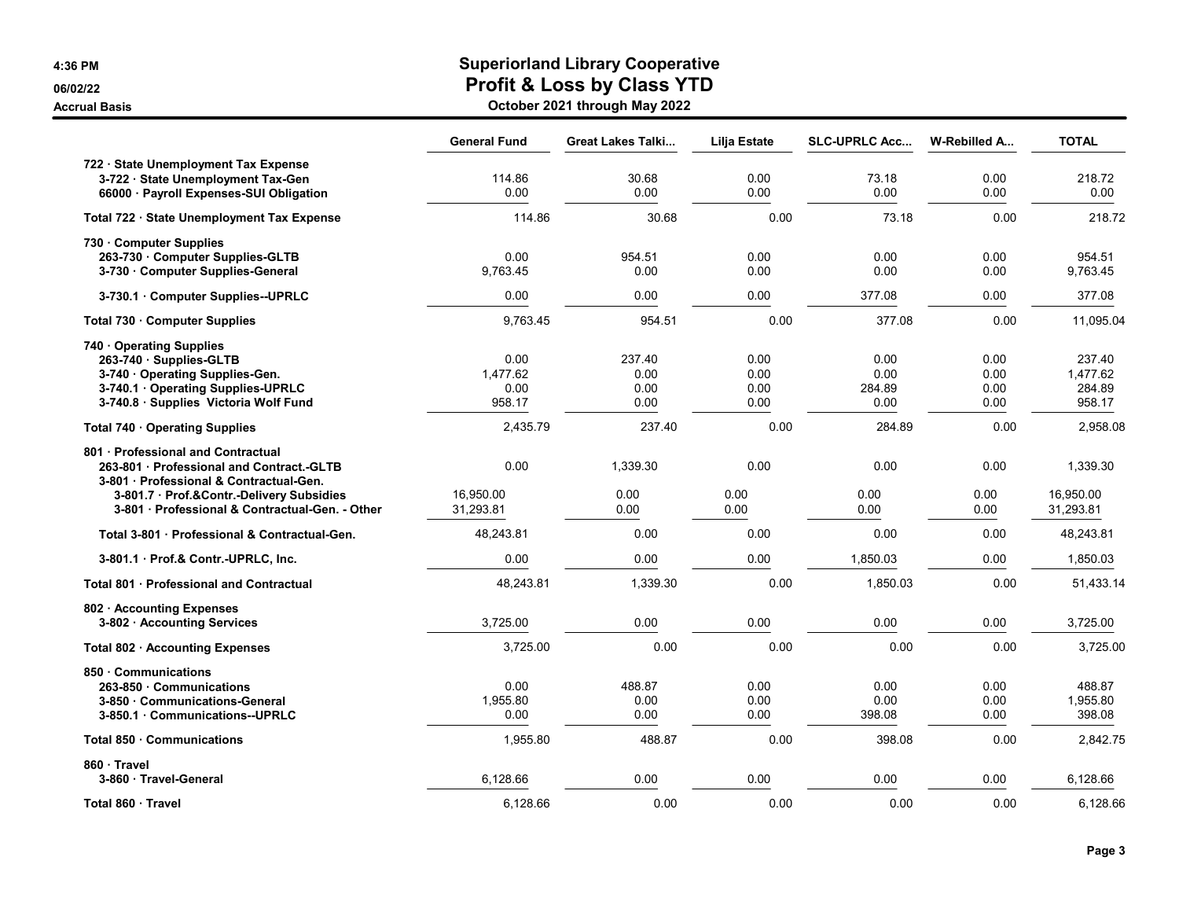# 4:36 PM Superiorland Library Cooperative 06/02/22 **Profit & Loss by Class YTD**

| <b>Accrual Basis</b> | October 2021 through May 2022 |
|----------------------|-------------------------------|
|----------------------|-------------------------------|

|                                                                                                                                                                                                                      | <b>General Fund</b>                | <b>Great Lakes Talki</b>       | <b>Lilja Estate</b>          | <b>SLC-UPRLC Acc</b>           | W-Rebilled A                 | <b>TOTAL</b>                           |
|----------------------------------------------------------------------------------------------------------------------------------------------------------------------------------------------------------------------|------------------------------------|--------------------------------|------------------------------|--------------------------------|------------------------------|----------------------------------------|
| 722 · State Unemployment Tax Expense<br>3-722 · State Unemployment Tax-Gen<br>66000 · Payroll Expenses-SUI Obligation                                                                                                | 114.86<br>0.00                     | 30.68<br>0.00                  | 0.00<br>0.00                 | 73.18<br>0.00                  | 0.00<br>0.00                 | 218.72<br>0.00                         |
| Total 722 · State Unemployment Tax Expense                                                                                                                                                                           | 114.86                             | 30.68                          | 0.00                         | 73.18                          | 0.00                         | 218.72                                 |
| 730 Computer Supplies<br>263-730 · Computer Supplies-GLTB<br>3-730 · Computer Supplies-General                                                                                                                       | 0.00<br>9,763.45                   | 954.51<br>0.00                 | 0.00<br>0.00                 | 0.00<br>0.00                   | 0.00<br>0.00                 | 954.51<br>9,763.45                     |
| 3-730.1 Computer Supplies--UPRLC                                                                                                                                                                                     | 0.00                               | 0.00                           | 0.00                         | 377.08                         | 0.00                         | 377.08                                 |
| Total 730 Computer Supplies                                                                                                                                                                                          | 9,763.45                           | 954.51                         | 0.00                         | 377.08                         | 0.00                         | 11,095.04                              |
| 740 Operating Supplies<br>263-740 · Supplies-GLTB<br>3-740 Operating Supplies-Gen.<br>3-740.1 Operating Supplies-UPRLC<br>3-740.8 Supplies Victoria Wolf Fund                                                        | 0.00<br>1,477.62<br>0.00<br>958.17 | 237.40<br>0.00<br>0.00<br>0.00 | 0.00<br>0.00<br>0.00<br>0.00 | 0.00<br>0.00<br>284.89<br>0.00 | 0.00<br>0.00<br>0.00<br>0.00 | 237.40<br>1,477.62<br>284.89<br>958.17 |
| Total 740 · Operating Supplies                                                                                                                                                                                       | 2,435.79                           | 237.40                         | 0.00                         | 284.89                         | 0.00                         | 2,958.08                               |
| 801 Professional and Contractual<br>263-801 Professional and Contract.-GLTB<br>3-801 · Professional & Contractual-Gen.<br>3-801.7 · Prof.&Contr.-Delivery Subsidies<br>3-801 Professional & Contractual-Gen. - Other | 0.00<br>16,950.00<br>31,293.81     | 1,339.30<br>0.00<br>0.00       | 0.00<br>0.00<br>0.00         | 0.00<br>0.00<br>0.00           | 0.00<br>0.00<br>0.00         | 1,339.30<br>16,950.00<br>31,293.81     |
| Total 3-801 · Professional & Contractual-Gen.                                                                                                                                                                        | 48,243.81                          | 0.00                           | 0.00                         | 0.00                           | 0.00                         | 48,243.81                              |
| 3-801.1 Prof.& Contr.-UPRLC, Inc.                                                                                                                                                                                    | 0.00                               | 0.00                           | 0.00                         | 1,850.03                       | 0.00                         | 1,850.03                               |
| <b>Total 801 Professional and Contractual</b>                                                                                                                                                                        | 48,243.81                          | 1,339.30                       | 0.00                         | 1,850.03                       | 0.00                         | 51,433.14                              |
| 802 · Accounting Expenses<br>3-802 Accounting Services                                                                                                                                                               | 3,725.00                           | 0.00                           | 0.00                         | 0.00                           | 0.00                         | 3,725.00                               |
| Total 802 · Accounting Expenses                                                                                                                                                                                      | 3,725.00                           | 0.00                           | 0.00                         | 0.00                           | 0.00                         | 3,725.00                               |
| 850 Communications<br>263-850 Communications<br>3-850 Communications-General<br>3-850.1 Communications--UPRLC                                                                                                        | 0.00<br>1,955.80<br>0.00           | 488.87<br>0.00<br>0.00         | 0.00<br>0.00<br>0.00         | 0.00<br>0.00<br>398.08         | 0.00<br>0.00<br>0.00         | 488.87<br>1,955.80<br>398.08           |
| Total 850 Communications                                                                                                                                                                                             | 1,955.80                           | 488.87                         | 0.00                         | 398.08                         | 0.00                         | 2,842.75                               |
| 860 Travel<br>3-860 · Travel-General                                                                                                                                                                                 | 6,128.66                           | 0.00                           | 0.00                         | 0.00                           | 0.00                         | 6,128.66                               |
| Total 860 · Travel                                                                                                                                                                                                   | 6,128.66                           | 0.00                           | 0.00                         | 0.00                           | 0.00                         | 6.128.66                               |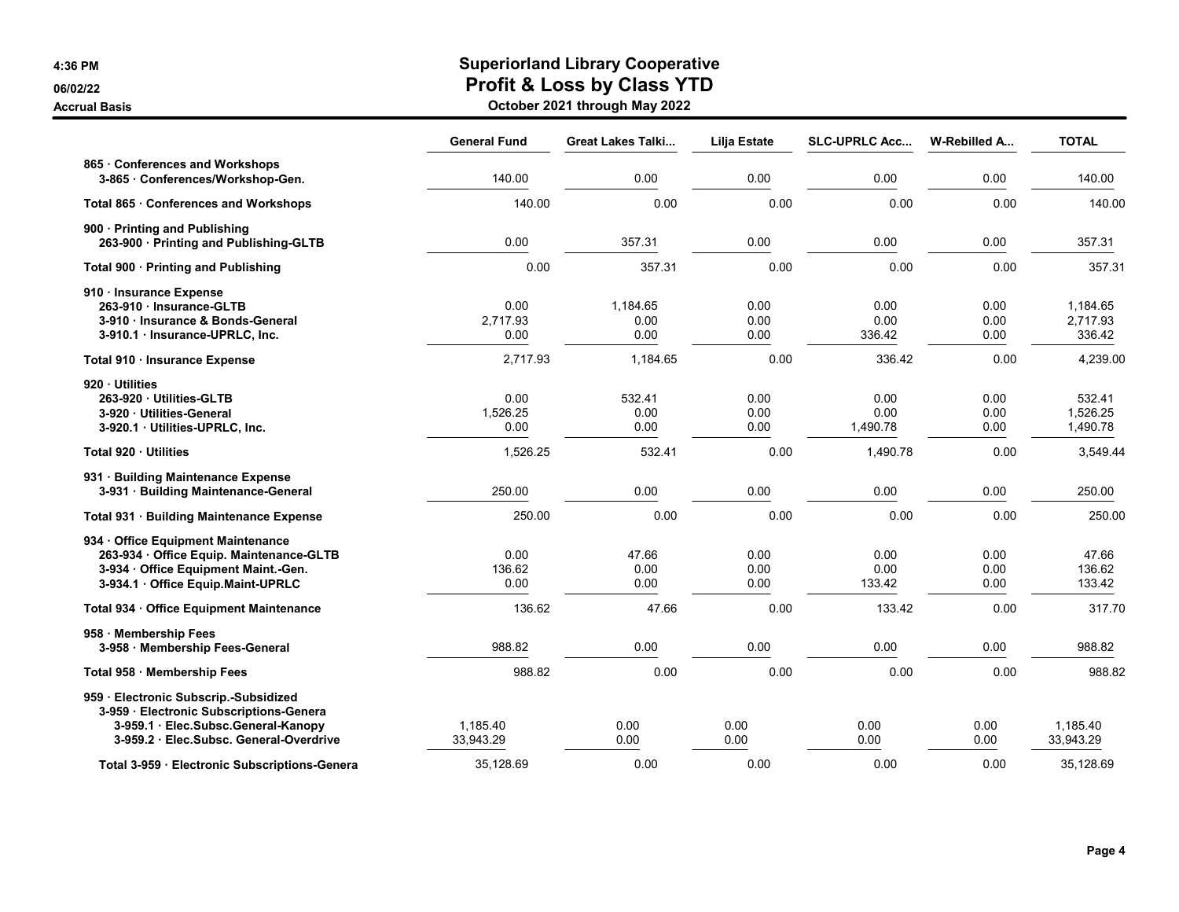**Accrual Basis** 

## 4:36 PM Superiorland Library Cooperative 06/02/22 **Profit & Loss by Class YTD**

| October 2021 through May 2022 |  |  |  |
|-------------------------------|--|--|--|
|-------------------------------|--|--|--|

|                                                                                                                                                                | <b>General Fund</b>      | Great Lakes Talki        | Lilja Estate         | <b>SLC-UPRLC Acc</b>     | W-Rebilled A         | <b>TOTAL</b>                   |
|----------------------------------------------------------------------------------------------------------------------------------------------------------------|--------------------------|--------------------------|----------------------|--------------------------|----------------------|--------------------------------|
| 865 · Conferences and Workshops<br>3-865 · Conferences/Workshop-Gen.                                                                                           | 140.00                   | 0.00                     | 0.00                 | 0.00                     | 0.00                 | 140.00                         |
| Total 865 · Conferences and Workshops                                                                                                                          | 140.00                   | 0.00                     | 0.00                 | 0.00                     | 0.00                 | 140.00                         |
| 900 Printing and Publishing<br>263-900 · Printing and Publishing-GLTB                                                                                          | 0.00                     | 357.31                   | 0.00                 | 0.00                     | 0.00                 | 357.31                         |
| Total 900 · Printing and Publishing                                                                                                                            | 0.00                     | 357.31                   | 0.00                 | 0.00                     | 0.00                 | 357.31                         |
| 910 · Insurance Expense<br>263-910 · Insurance-GLTB<br>3-910 · Insurance & Bonds-General<br>3-910.1 · Insurance-UPRLC, Inc.                                    | 0.00<br>2,717.93<br>0.00 | 1,184.65<br>0.00<br>0.00 | 0.00<br>0.00<br>0.00 | 0.00<br>0.00<br>336.42   | 0.00<br>0.00<br>0.00 | 1,184.65<br>2,717.93<br>336.42 |
| Total 910 · Insurance Expense                                                                                                                                  | 2,717.93                 | 1,184.65                 | 0.00                 | 336.42                   | 0.00                 | 4,239.00                       |
| 920 Utilities<br>263-920 Utilities-GLTB<br>3-920 Utilities-General<br>3-920.1 Utilities-UPRLC, Inc.                                                            | 0.00<br>1,526.25<br>0.00 | 532.41<br>0.00<br>0.00   | 0.00<br>0.00<br>0.00 | 0.00<br>0.00<br>1,490.78 | 0.00<br>0.00<br>0.00 | 532.41<br>1,526.25<br>1,490.78 |
| Total 920 Utilities                                                                                                                                            | 1,526.25                 | 532.41                   | 0.00                 | 1,490.78                 | 0.00                 | 3,549.44                       |
| 931 · Building Maintenance Expense<br>3-931 · Building Maintenance-General                                                                                     | 250.00                   | 0.00                     | 0.00                 | 0.00                     | 0.00                 | 250.00                         |
| Total 931 · Building Maintenance Expense                                                                                                                       | 250.00                   | 0.00                     | 0.00                 | 0.00                     | 0.00                 | 250.00                         |
| 934 Office Equipment Maintenance<br>263-934 · Office Equip. Maintenance-GLTB<br>3-934 Office Equipment Maint.-Gen.<br>3-934.1 Office Equip.Maint-UPRLC         | 0.00<br>136.62<br>0.00   | 47.66<br>0.00<br>0.00    | 0.00<br>0.00<br>0.00 | 0.00<br>0.00<br>133.42   | 0.00<br>0.00<br>0.00 | 47.66<br>136.62<br>133.42      |
| Total 934 · Office Equipment Maintenance                                                                                                                       | 136.62                   | 47.66                    | 0.00                 | 133.42                   | 0.00                 | 317.70                         |
| 958 · Membership Fees<br>3-958 Membership Fees-General                                                                                                         | 988.82                   | 0.00                     | 0.00                 | 0.00                     | 0.00                 | 988.82                         |
| Total 958 · Membership Fees                                                                                                                                    | 988.82                   | 0.00                     | 0.00                 | 0.00                     | 0.00                 | 988.82                         |
| 959 · Electronic Subscrip.-Subsidized<br>3-959 · Electronic Subscriptions-Genera<br>3-959.1 Elec.Subsc.General-Kanopy<br>3-959.2 Elec.Subsc. General-Overdrive | 1,185.40<br>33,943.29    | 0.00<br>0.00             | 0.00<br>0.00         | 0.00<br>0.00             | 0.00<br>0.00         | 1,185.40<br>33,943.29          |
| Total 3-959 · Electronic Subscriptions-Genera                                                                                                                  | 35,128.69                | 0.00                     | 0.00                 | 0.00                     | 0.00                 | 35,128.69                      |